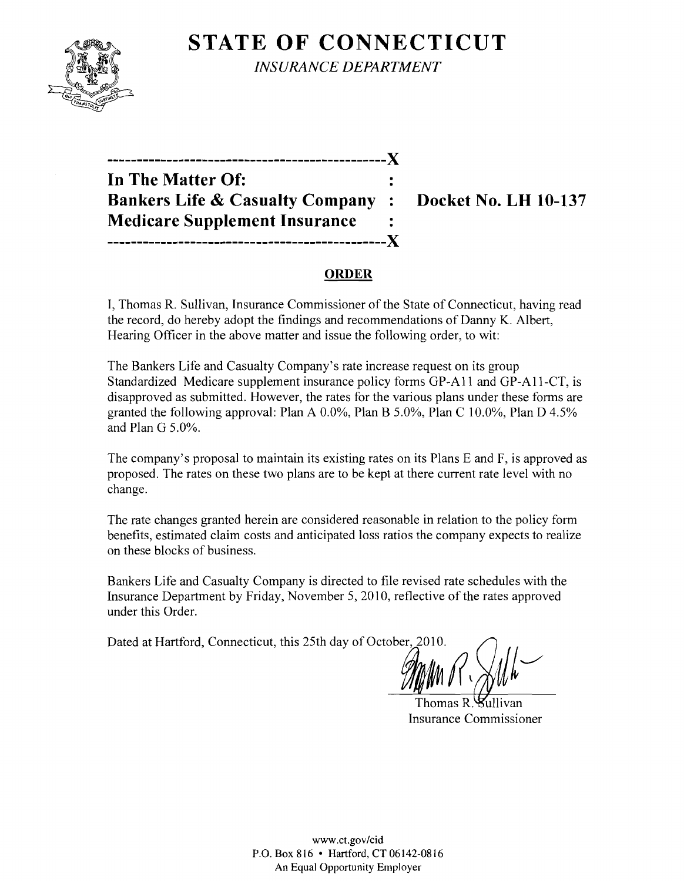

**STATE OF CONNECTICUT** *INSURANCE DEPARTMENT* 

| In The Matter Of:                          |                      |
|--------------------------------------------|----------------------|
| <b>Bankers Life &amp; Casualty Company</b> | $\ddot{\phantom{a}}$ |
| <b>Medicare Supplement Insurance</b>       |                      |
| ___________________________                |                      |

**Docket No. LH 10-137** 

## **ORDER**

I, Thomas R. Sullivan, Insurance Commissioner of the State of Connecticut, having read the record, do hereby adopt the findings and recommendations of Danny K. Albert, Hearing Officer in the above matter and issue the following order, to wit:

The Bankers Life and Casualty Company's rate increase request on its group Standardized Medicare supplement insurance policy forms GP-A11 and GP-All-CT, is disapproved as submitted. However, the rates for the various plans under these forms are granted the following approval: Plan A 0.0%, Plan B 5.0%, Plan C 10.0%, Plan D 4.5% and Plan G 5.0%.

The company's proposal to maintain its existing rates on its Plans E and F, is approved as proposed. The rates on these two plans are to be kept at there current rate level with no change.

The rate changes granted herein are considered reasonable in relation to the policy form benefits, estimated claim costs and anticipated loss ratios the company expects to realize on these blocks of business.

Bankers Life and Casualty Company is directed to file revised rate schedules with the Insurance Department by Friday, November 5, 2010, reflective of the rates approved under this Order.

Dated at Hartford, Connecticut, this 25th day of October, 2010.

Thomas R. Kullivan Insurance Commissioner

www.ct.gov/cid P.O. Box 816 • Hartford.CT06142-0816 An Equal Opportunity Employer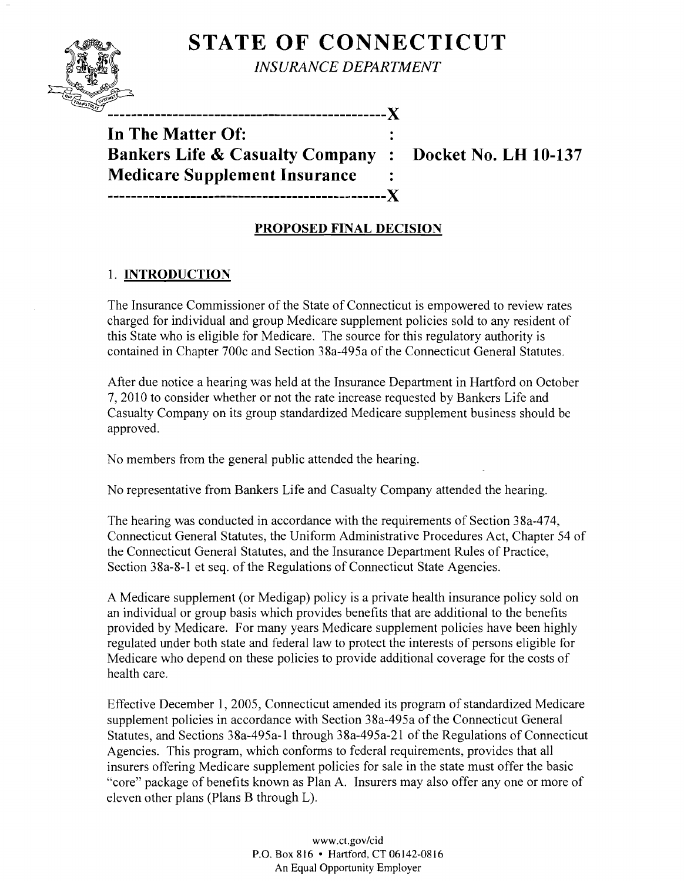

**STATE OF CONNECTICUT** 

*INSURANCE DEPARTMENT* 

**-----------------------------------------------)(** 

**In The Matter Of: Bankers Life & Casualty Company : Docket No. LH 10-137 Medicare Supplement Insurance -----------------------------------------------)(** 

# **PROPOSED FINAL DECISION**

### 1. **INTRODUCTION**

The Insurance Commissioner of the State of Connecticut is empowered to review rates charged for individual and group Medicare supplement policies sold to any resident of this State who is eligible for Medicare. The source for this regulatory authority is contained in Chapter 700c and Section 38a-495a of the Connecticut General Statutes.

After due notice a hearing was held at the Insurance Department in Hartford on October 7,2010 to consider whether or not the rate increase requested by Bankers Life and Casualty Company on its group standardized Medicare supplement business should be approved.

No members from the general public attended the hearing.

No representative from Bankers Life and Casualty Company attended the hearing.

The hearing was conducted in accordance with the requirements of Section 38a-474, Connecticut General Statutes, the Uniform Administrative Procedures Act, Chapter 54 of the Connecticut General Statutes, and the Insurance Department Rules of Practice, Section 38a-8-1 et seq. of the Regulations of Connecticut State Agencies.

A Medicare supplement (or Medigap) policy is a private health insurance policy sold on an individual or group basis which provides benefits that are additional to the benefits provided by Medicare. For many years Medicare supplement policies have been highly regulated under both state and federal law to protect the interests of persons eligible for Medicare who depend on these policies to provide additional coverage for the costs of health care.

Effective December 1, 2005, Connecticut amended its program of standardized Medicare supplement policies in accordance with Section 38a-495a of the Connecticut General Statutes, and Sections 38a-495a-l through 38a-495a-21 of the Regulations of Connecticut Agencies. This program, which conforms to federal requirements, provides that all insurers offering Medicare supplement policies for sale in the state must offer the basic "core" package of benefits known as Plan A. Insurers may also offer anyone or more of eleven other plans (Plans B through L).

> www.ct.gov/cid P.O. Box 816 • Hartford, CT 06142-0816 An Equal Opportunity Employer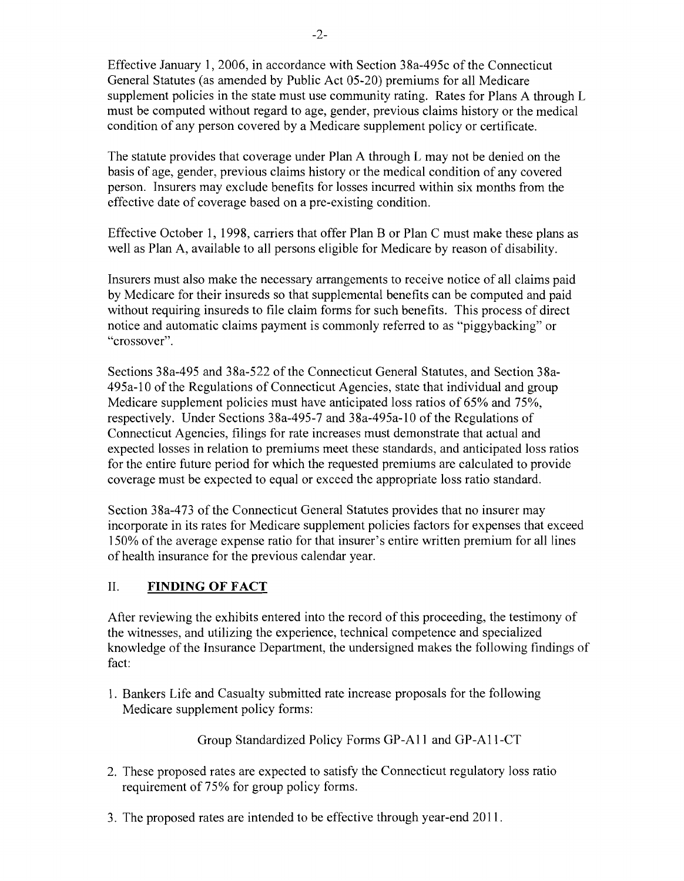Effective January 1,2006, in accordance with Section 38a-495c of the Connecticut General Statutes (as amended by Public Act 05-20) premiums for all Medicare supplement policies in the state must use community rating. Rates for Plans A through L must be computed without regard to age, gender, previous claims history or the medical condition of any person covered by a Medicare supplement policy or certificate.

The statute provides that coverage under Plan A through L may not be denied on the basis of age, gender, previous claims history or the medical condition of any covered person. Insurers may exclude benefits for losses incurred within six months from the effective date of coverage based on a pre-existing condition.

Effective October 1,1998, carriers that offer Plan B or Plan C must make these plans as well as Plan A, available to all persons eligible for Medicare by reason of disability.

Insurers must also make the necessary arrangements to receive notice of all claims paid by Medicare for their insureds so that supplemental benefits can be computed and paid without requiring insureds to file claim forms for such benefits. This process of direct notice and automatic claims payment is commonly referred to as "piggybacking" or "crossover".

Sections 38a-495 and 38a-522 of the Connecticut General Statutes, and Section 38a-495a-l0 of the Regulations of Connecticut Agencies, state that individual and group Medicare supplement policies must have anticipated loss ratios of 65% and 75%, respectively. Under Sections 38a-495-7 and 38a-495a-l0 of the Regulations of Connecticut Agencies, filings for rate increases must demonstrate that actual and expected losses in relation to premiums meet these standards, and anticipated loss ratios for the entire future period for which the requested premiums are calculated to provide coverage must be expected to equal or exceed the appropriate loss ratio standard.

Section 38a-473 of the Connecticut General Statutes provides that no insurer may incorporate in its rates for Medicare supplement policies factors for expenses that exceed 150% of the average expense ratio for that insurer's entire written premium for all lines of health insurance for the previous calendar year.

# II. **FINDING OF FACT**

After reviewing the exhibits entered into the record of this proceeding, the testimony of the witnesses, and utilizing the experience, technical competence and specialized knowledge of the Insurance Department, the undersigned makes the following findings of fact:

1. Bankers Life and Casualty submitted rate increase proposals for the following Medicare supplement policy forms:

Group Standardized Policy Forms GP-All and GP-All-CT

- 2. These proposed rates are expected to satisfy the Connecticut regulatory loss ratio requirement of 75% for group policy forms.
- 3. The proposed rates are intended to be effective through year-end 2011.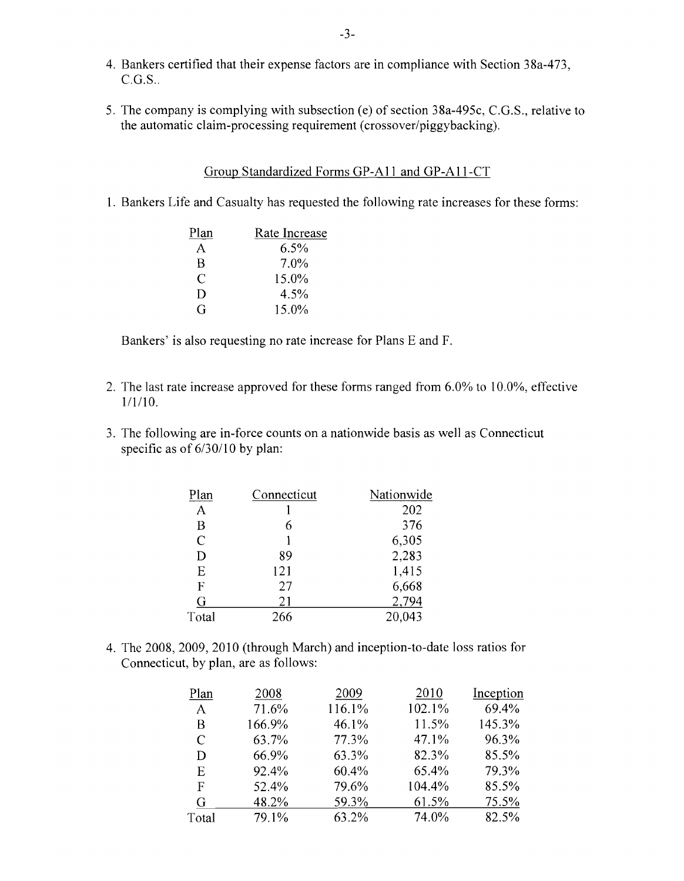- 4. Bankers certified that their expense factors are in compliance with Section 38a-473,  $C.G.S.$ .
- 5. The company is complying with subsection (e) of section 38a-495c, C.G.S., relative to the automatic claim-processing requirement (crossover/piggybacking).

### Group Standardized Forms GP-A11 and GP-A11-CT

1. Bankers Life and Casualty has requested the following rate increases for these forms:

| Plan | Rate Increase |
|------|---------------|
| A    | $6.5\%$       |
| B    | 7.0%          |
| C    | 15.0%         |
| Ð    | 4.5%          |
| G    | 15.0%         |

Bankers' is also requesting no rate increase for Plans E and F.

- 2. The last rate increase approved for these forms ranged from 6.0% to 10.0%, effective 1/1/10.
- 3. The following are in-force counts on a nationwide basis as well as Connecticut specific as of  $6/30/10$  by plan:

| Plan           | Connecticut | Nationwide |
|----------------|-------------|------------|
| A              |             | 202        |
| B              | 6           | 376        |
| $\overline{C}$ |             | 6,305      |
| D              | 89          | 2,283      |
| E              | 121         | 1,415      |
| F              | 27          | 6,668      |
| G              | 21          | 2,794      |
| Total          | 266         | 20,043     |

4. The 2008, 2009, 2010 (through March) and inception-to-date loss ratios for Connecticut, by plan, are as follows:

| Plan         | 2008   | 2009   | 2010   | Inception |
|--------------|--------|--------|--------|-----------|
| $\mathsf{A}$ | 71.6%  | 116.1% | 102.1% | 69.4%     |
| B            | 166.9% | 46.1%  | 11.5%  | 145.3%    |
| C            | 63.7%  | 77.3%  | 47.1%  | 96.3%     |
| D            | 66.9%  | 63.3%  | 82.3%  | 85.5%     |
| E            | 92.4%  | 60.4%  | 65.4%  | 79.3%     |
| F            | 52.4%  | 79.6%  | 104.4% | 85.5%     |
| G            | 48.2%  | 59.3%  | 61.5%  | 75.5%     |
| Total        | 79.1%  | 63.2%  | 74.0%  | 82.5%     |